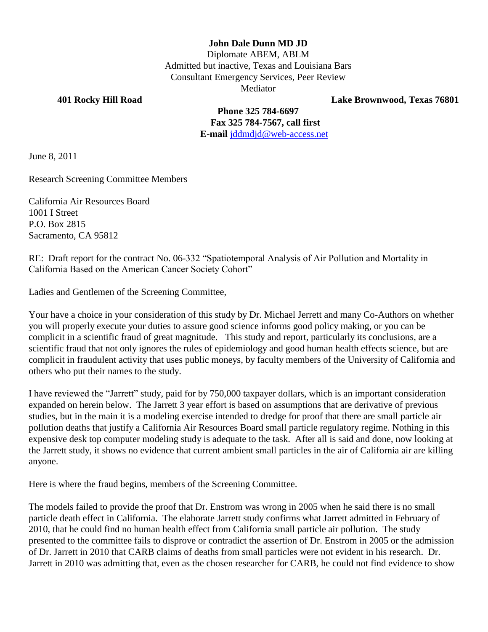## **John Dale Dunn MD JD**

Diplomate ABEM, ABLM Admitted but inactive, Texas and Louisiana Bars Consultant Emergency Services, Peer Review Mediator

**401 Rocky Hill Road Lake Brownwood, Texas 76801**

**Phone 325 784-6697 Fax 325 784-7567, call first E-mail** [jddmdjd@web-access.net](mailto:jddmdjd@web-access.net)

June 8, 2011

Research Screening Committee Members

California Air Resources Board 1001 I Street P.O. Box 2815 Sacramento, CA 95812

RE: Draft report for the contract No. 06-332 "Spatiotemporal Analysis of Air Pollution and Mortality in California Based on the American Cancer Society Cohort"

Ladies and Gentlemen of the Screening Committee,

Your have a choice in your consideration of this study by Dr. Michael Jerrett and many Co-Authors on whether you will properly execute your duties to assure good science informs good policy making, or you can be complicit in a scientific fraud of great magnitude. This study and report, particularly its conclusions, are a scientific fraud that not only ignores the rules of epidemiology and good human health effects science, but are complicit in fraudulent activity that uses public moneys, by faculty members of the University of California and others who put their names to the study.

I have reviewed the "Jarrett" study, paid for by 750,000 taxpayer dollars, which is an important consideration expanded on herein below. The Jarrett 3 year effort is based on assumptions that are derivative of previous studies, but in the main it is a modeling exercise intended to dredge for proof that there are small particle air pollution deaths that justify a California Air Resources Board small particle regulatory regime. Nothing in this expensive desk top computer modeling study is adequate to the task. After all is said and done, now looking at the Jarrett study, it shows no evidence that current ambient small particles in the air of California air are killing anyone.

Here is where the fraud begins, members of the Screening Committee.

The models failed to provide the proof that Dr. Enstrom was wrong in 2005 when he said there is no small particle death effect in California. The elaborate Jarrett study confirms what Jarrett admitted in February of 2010, that he could find no human health effect from California small particle air pollution. The study presented to the committee fails to disprove or contradict the assertion of Dr. Enstrom in 2005 or the admission of Dr. Jarrett in 2010 that CARB claims of deaths from small particles were not evident in his research. Dr. Jarrett in 2010 was admitting that, even as the chosen researcher for CARB, he could not find evidence to show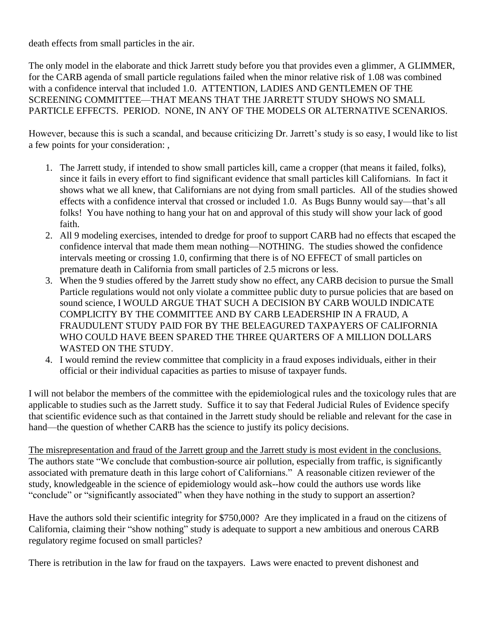death effects from small particles in the air.

The only model in the elaborate and thick Jarrett study before you that provides even a glimmer, A GLIMMER, for the CARB agenda of small particle regulations failed when the minor relative risk of 1.08 was combined with a confidence interval that included 1.0. ATTENTION, LADIES AND GENTLEMEN OF THE SCREENING COMMITTEE—THAT MEANS THAT THE JARRETT STUDY SHOWS NO SMALL PARTICLE EFFECTS. PERIOD. NONE, IN ANY OF THE MODELS OR ALTERNATIVE SCENARIOS.

However, because this is such a scandal, and because criticizing Dr. Jarrett's study is so easy, I would like to list a few points for your consideration: ,

- 1. The Jarrett study, if intended to show small particles kill, came a cropper (that means it failed, folks), since it fails in every effort to find significant evidence that small particles kill Californians. In fact it shows what we all knew, that Californians are not dying from small particles. All of the studies showed effects with a confidence interval that crossed or included 1.0. As Bugs Bunny would say—that's all folks! You have nothing to hang your hat on and approval of this study will show your lack of good faith.
- 2. All 9 modeling exercises, intended to dredge for proof to support CARB had no effects that escaped the confidence interval that made them mean nothing—NOTHING. The studies showed the confidence intervals meeting or crossing 1.0, confirming that there is of NO EFFECT of small particles on premature death in California from small particles of 2.5 microns or less.
- 3. When the 9 studies offered by the Jarrett study show no effect, any CARB decision to pursue the Small Particle regulations would not only violate a committee public duty to pursue policies that are based on sound science, I WOULD ARGUE THAT SUCH A DECISION BY CARB WOULD INDICATE COMPLICITY BY THE COMMITTEE AND BY CARB LEADERSHIP IN A FRAUD, A FRAUDULENT STUDY PAID FOR BY THE BELEAGURED TAXPAYERS OF CALIFORNIA WHO COULD HAVE BEEN SPARED THE THREE QUARTERS OF A MILLION DOLLARS WASTED ON THE STUDY.
- 4. I would remind the review committee that complicity in a fraud exposes individuals, either in their official or their individual capacities as parties to misuse of taxpayer funds.

I will not belabor the members of the committee with the epidemiological rules and the toxicology rules that are applicable to studies such as the Jarrett study. Suffice it to say that Federal Judicial Rules of Evidence specify that scientific evidence such as that contained in the Jarrett study should be reliable and relevant for the case in hand—the question of whether CARB has the science to justify its policy decisions.

The misrepresentation and fraud of the Jarrett group and the Jarrett study is most evident in the conclusions. The authors state "We conclude that combustion-source air pollution, especially from traffic, is significantly associated with premature death in this large cohort of Californians." A reasonable citizen reviewer of the study, knowledgeable in the science of epidemiology would ask--how could the authors use words like "conclude" or "significantly associated" when they have nothing in the study to support an assertion?

Have the authors sold their scientific integrity for \$750,000? Are they implicated in a fraud on the citizens of California, claiming their "show nothing" study is adequate to support a new ambitious and onerous CARB regulatory regime focused on small particles?

There is retribution in the law for fraud on the taxpayers. Laws were enacted to prevent dishonest and